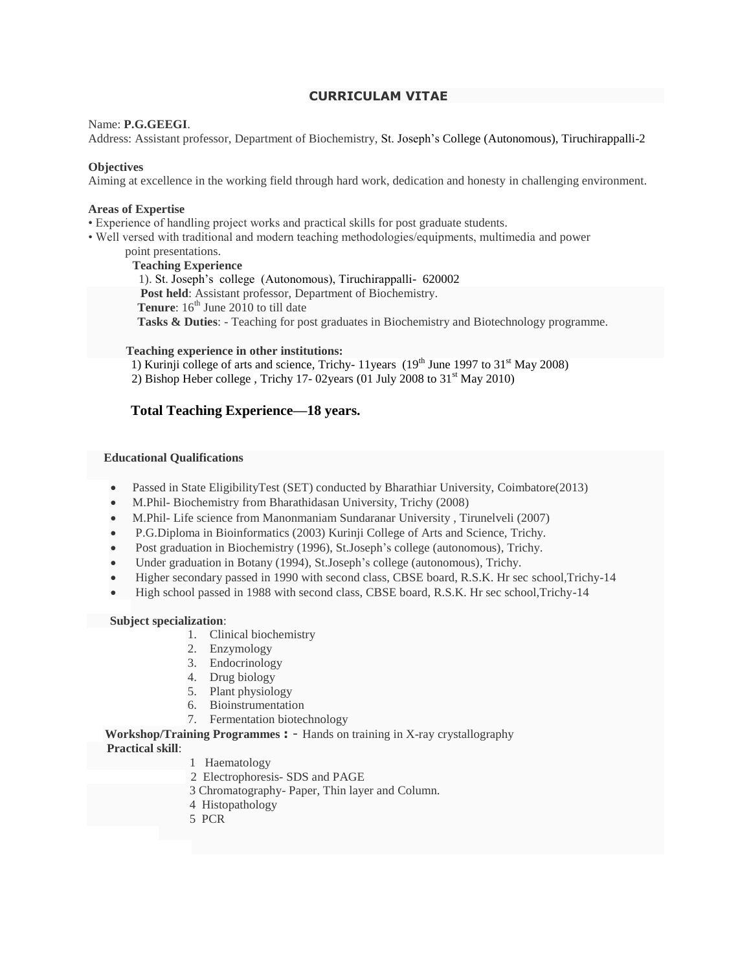## **CURRICULAM VITAE**

#### Name: **P.G.GEEGI**.

Address: Assistant professor, Department of Biochemistry, St. Joseph's College (Autonomous), Tiruchirappalli-2

#### **Objectives**

Aiming at excellence in the working field through hard work, dedication and honesty in challenging environment.

#### **Areas of Expertise**

• Experience of handling project works and practical skills for post graduate students.

- Well versed with traditional and modern teaching methodologies/equipments, multimedia and power
	- point presentations.

**Teaching Experience** 1). St. Joseph's college (Autonomous), Tiruchirappalli- 620002  **Post held**: Assistant professor, Department of Biochemistry. **Tenure**: 16<sup>th</sup> June 2010 to till date  **Tasks & Duties**: - Teaching for post graduates in Biochemistry and Biotechnology programme.

#### **Teaching experience in other institutions:**

- 1) Kurinji college of arts and science, Trichy- 11years  $(19<sup>th</sup>$  June 1997 to 31<sup>st</sup> May 2008)
- 2) Bishop Heber college, Trichy 17- 02years (01 July 2008 to  $31<sup>st</sup>$  May 2010)

## **Total Teaching Experience—18 years.**

#### **Educational Qualifications**

- Passed in State EligibilityTest (SET) conducted by Bharathiar University, Coimbatore(2013)
- M.Phil- Biochemistry from Bharathidasan University, Trichy (2008)
- M.Phil- Life science from Manonmaniam Sundaranar University , Tirunelveli (2007)
- P.G.Diploma in Bioinformatics (2003) Kurinji College of Arts and Science, Trichy.
- Post graduation in Biochemistry (1996), St.Joseph's college (autonomous), Trichy.
- Under graduation in Botany (1994), St.Joseph's college (autonomous), Trichy.
- Higher secondary passed in 1990 with second class, CBSE board, R.S.K. Hr sec school,Trichy-14
- High school passed in 1988 with second class, CBSE board, R.S.K. Hr sec school,Trichy-14

#### **Subject specialization**:

- 1. Clinical biochemistry
- 2. Enzymology
- 3. Endocrinology
- 4. Drug biology
- 5. Plant physiology
- 6. Bioinstrumentation
- 7. Fermentation biotechnology

**Workshop/Training Programmes :** - Hands on training in X-ray crystallography

## **Practical skill**:

- 1 Haematology
- 2 Electrophoresis- SDS and PAGE
- 3 Chromatography- Paper, Thin layer and Column.
- 4 Histopathology
- 5 PCR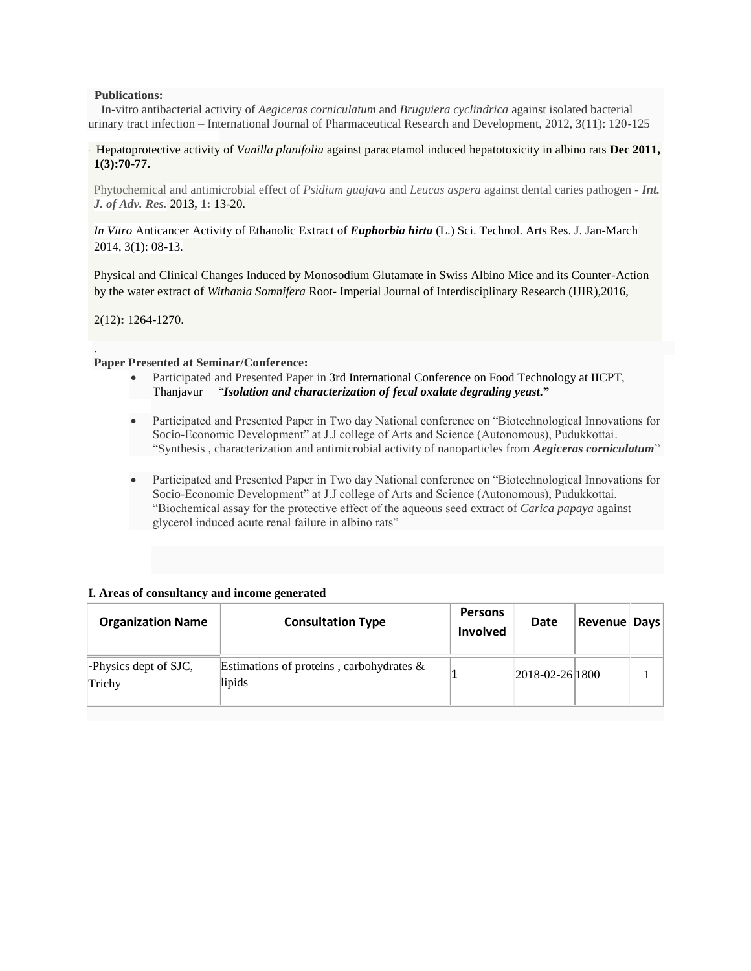#### **Publications:**

 In-vitro antibacterial activity of *Aegiceras corniculatum* and *Bruguiera cyclindrica* against isolated bacterial urinary tract infection – International Journal of Pharmaceutical Research and Development, 2012, 3(11): 120-125

### . Hepatoprotective activity of *Vanilla planifolia* [against paracetamol induced hepatotoxicity in albino rats](http://www.ijipls.com/uploaded/journal_files/111213051212.pdf) **Dec 2011, 1(3):70-77.**

Phytochemical and antimicrobial effect of *Psidium guajava* and *Leucas aspera* against dental caries pathogen - *Int. J. of Adv. Res.* 2013**, 1:** 13-20.

## *In Vitro* Anticancer Activity of Ethanolic Extract of *Euphorbia hirta* (L.) Sci. Technol. Arts Res. J. Jan-March 2014, 3(1): 08-13.

Physical and Clinical Changes Induced by Monosodium Glutamate in Swiss Albino Mice and its Counter-Action by the water extract of *Withania Somnifera* Root- Imperial Journal of Interdisciplinary Research (IJIR),2016,

2(12)**:** 1264-1270.

.

#### **Paper Presented at Seminar/Conference:**

- Participated and Presented Paper in 3rd International Conference on Food Technology at IICPT, Thanjavur "*Isolation and characterization of fecal oxalate degrading yeast***."**
- Participated and Presented Paper in Two day National conference on "Biotechnological Innovations for Socio-Economic Development" at J.J college of Arts and Science (Autonomous), Pudukkottai. "Synthesis , characterization and antimicrobial activity of nanoparticles from *Aegiceras corniculatum*"
- Participated and Presented Paper in Two day National conference on "Biotechnological Innovations for Socio-Economic Development" at J.J college of Arts and Science (Autonomous), Pudukkottai. "Biochemical assay for the protective effect of the aqueous seed extract of *Carica papaya* against glycerol induced acute renal failure in albino rats"

## **I. Areas of consultancy and income generated**

| <b>Organization Name</b>        | <b>Consultation Type</b>                              | <b>Persons</b><br>Involved | Date                | <b>Revenue Days</b> |  |
|---------------------------------|-------------------------------------------------------|----------------------------|---------------------|---------------------|--|
| -Physics dept of SJC,<br>Trichy | Estimations of proteins, carbohydrates $\&$<br>lipids |                            | $ 2018-02-26 1800 $ |                     |  |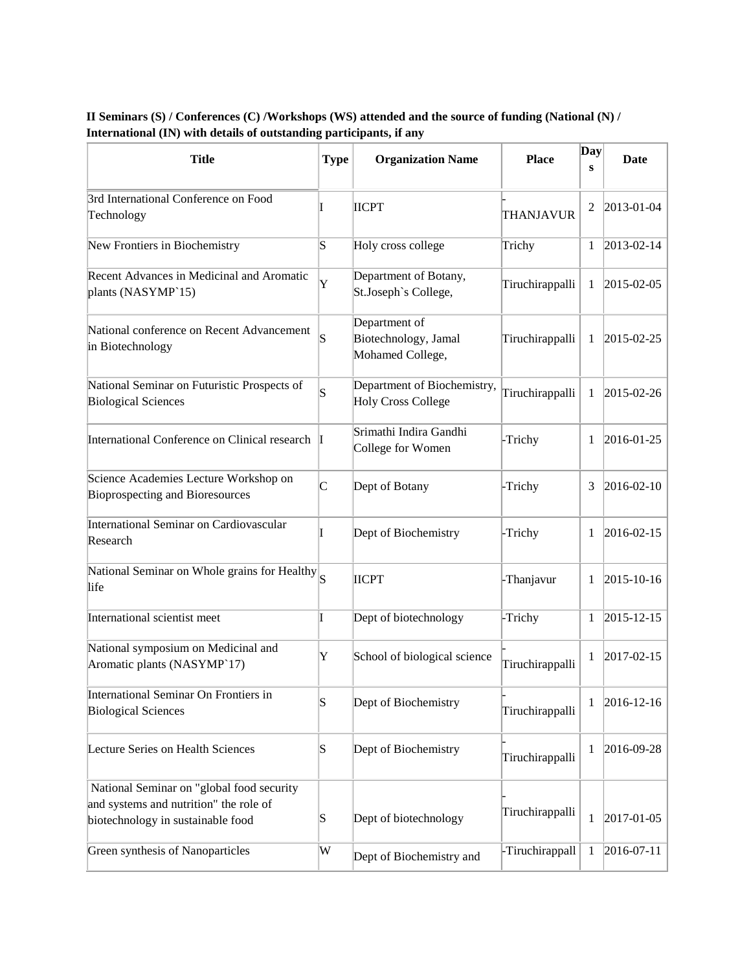| <b>Title</b>                                                                                                             | <b>Type</b>           | <b>Organization Name</b>                                  | <b>Place</b>    | Day<br>s | <b>Date</b>        |
|--------------------------------------------------------------------------------------------------------------------------|-----------------------|-----------------------------------------------------------|-----------------|----------|--------------------|
| 3rd International Conference on Food<br>Technology                                                                       |                       | <b>IICPT</b>                                              | THANJAVUR       | 2        | 2013-01-04         |
| New Frontiers in Biochemistry                                                                                            | S                     | Holy cross college                                        | Trichy          | 1        | $2013 - 02 - 14$   |
| Recent Advances in Medicinal and Aromatic<br>plants (NASYMP'15)                                                          | Y                     | Department of Botany,<br>St.Joseph's College,             | Tiruchirappalli | 1        | $ 2015 - 02 - 05 $ |
| National conference on Recent Advancement<br>in Biotechnology                                                            | S                     | Department of<br>Biotechnology, Jamal<br>Mohamed College, | Tiruchirappalli | 1        | 2015-02-25         |
| National Seminar on Futuristic Prospects of<br><b>Biological Sciences</b>                                                | $\overline{\text{S}}$ | Department of Biochemistry,<br><b>Holy Cross College</b>  | Tiruchirappalli | 1        | 2015-02-26         |
| International Conference on Clinical research I                                                                          |                       | Srimathi Indira Gandhi<br>College for Women               | -Trichy         | 1        | 2016-01-25         |
| Science Academies Lecture Workshop on<br><b>Bioprospecting and Bioresources</b>                                          | C                     | Dept of Botany                                            | -Trichy         | 3        | $ 2016 - 02 - 10$  |
| International Seminar on Cardiovascular<br>Research                                                                      |                       | Dept of Biochemistry                                      | -Trichy         | 1        | $2016 - 02 - 15$   |
| National Seminar on Whole grains for Healthy S<br>life                                                                   |                       | <b>IICPT</b>                                              | -Thanjavur      | 1        | $ 2015 - 10 - 16$  |
| International scientist meet                                                                                             |                       | Dept of biotechnology                                     | -Trichy         | 1        | 2015-12-15         |
| National symposium on Medicinal and<br>Aromatic plants (NASYMP'17)                                                       | Y                     | School of biological science                              | Tiruchirappalli | 1        | $ 2017 - 02 - 15 $ |
| International Seminar On Frontiers in<br><b>Biological Sciences</b>                                                      | S                     | Dept of Biochemistry                                      | Tiruchirappalli | 1        | $ 2016 - 12 - 16 $ |
| Lecture Series on Health Sciences                                                                                        | $\mathbf S$           | Dept of Biochemistry                                      | Tiruchirappalli | 1        | 2016-09-28         |
| National Seminar on "global food security<br>and systems and nutrition" the role of<br>biotechnology in sustainable food | $\mathbf S$           | Dept of biotechnology                                     | Tiruchirappalli | 1        | $ 2017 - 01 - 05$  |
| Green synthesis of Nanoparticles                                                                                         | W                     | Dept of Biochemistry and                                  | -Tiruchirappall | 1        | $ 2016 - 07 - 11 $ |

## **II Seminars (S) / Conferences (C) /Workshops (WS) attended and the source of funding (National (N) / International (IN) with details of outstanding participants, if any**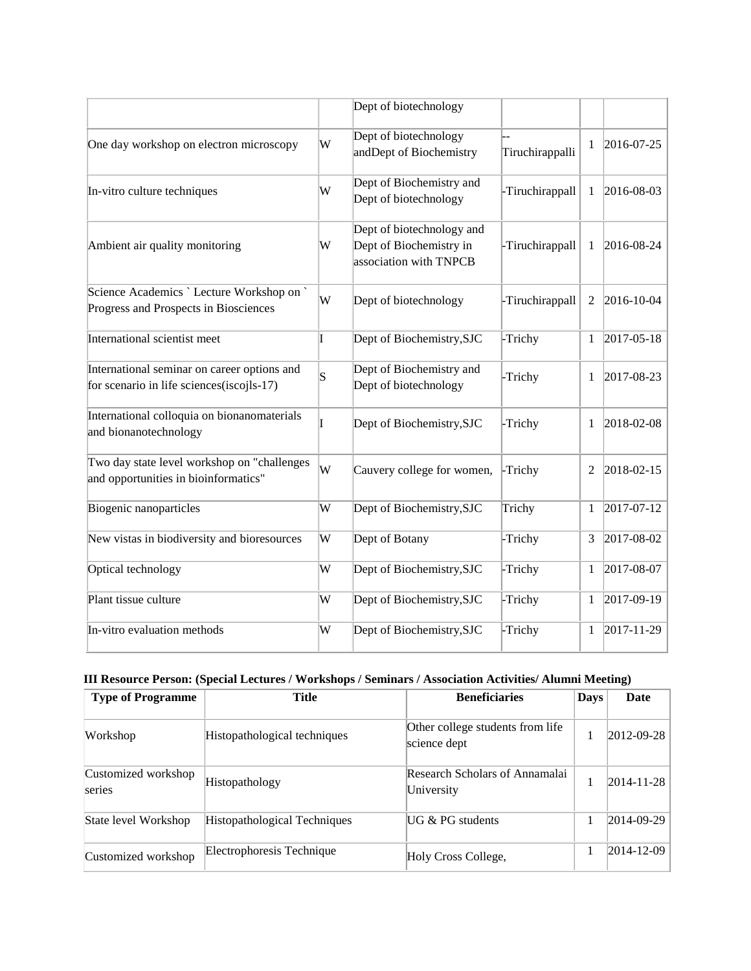|                                                                                          |   | Dept of biotechnology                                                          |                 |              |                    |
|------------------------------------------------------------------------------------------|---|--------------------------------------------------------------------------------|-----------------|--------------|--------------------|
| One day workshop on electron microscopy                                                  | W | Dept of biotechnology<br>andDept of Biochemistry                               | Tiruchirappalli | 1            | 2016-07-25         |
| In-vitro culture techniques                                                              | W | Dept of Biochemistry and<br>Dept of biotechnology                              | -Tiruchirappall | 1            | $ 2016 - 08 - 03 $ |
| Ambient air quality monitoring                                                           | W | Dept of biotechnology and<br>Dept of Biochemistry in<br>association with TNPCB | -Tiruchirappall | 1            | $2016 - 08 - 24$   |
| Science Academics `Lecture Workshop on `<br>Progress and Prospects in Biosciences        | W | Dept of biotechnology                                                          | -Tiruchirappall | 2            | 2016-10-04         |
| International scientist meet                                                             | T | Dept of Biochemistry, SJC                                                      | -Trichy         | $\mathbf{1}$ | $2017 - 05 - 18$   |
| International seminar on career options and<br>for scenario in life sciences(iscojls-17) | S | Dept of Biochemistry and<br>Dept of biotechnology                              | -Trichy         | 1            | 2017-08-23         |
| International colloquia on bionanomaterials<br>and bionanotechnology                     |   | Dept of Biochemistry, SJC                                                      | -Trichy         | 1            | 2018-02-08         |
| Two day state level workshop on "challenges<br>and opportunities in bioinformatics"      | W | Cauvery college for women,                                                     | -Trichy         | 2            | 2018-02-15         |
| <b>Biogenic nanoparticles</b>                                                            | W | Dept of Biochemistry, SJC                                                      | Trichy          | $\mathbf{1}$ | 2017-07-12         |
| New vistas in biodiversity and bioresources                                              | W | Dept of Botany                                                                 | -Trichy         | 3            | 2017-08-02         |
| Optical technology                                                                       | W | Dept of Biochemistry, SJC                                                      | -Trichy         | 1            | 2017-08-07         |
| Plant tissue culture                                                                     | W | Dept of Biochemistry, SJC                                                      | -Trichy         | 1            | 2017-09-19         |
| In-vitro evaluation methods                                                              | W | Dept of Biochemistry, SJC                                                      | -Trichy         | 1            | 2017-11-29         |

# **III Resource Person: (Special Lectures / Workshops / Seminars / Association Activities/ Alumni Meeting)**

| <b>Type of Programme</b>      | Title                        | <b>Beneficiaries</b>                             |  | Date               |
|-------------------------------|------------------------------|--------------------------------------------------|--|--------------------|
| Workshop                      | Histopathological techniques | Other college students from life<br>science dept |  | $ 2012-09-28 $     |
| Customized workshop<br>series | Histopathology               | Research Scholars of Annamalai<br>University     |  | $ 2014 - 11 - 28 $ |
| State level Workshop          | Histopathological Techniques | $UG & PG$ students                               |  | $ 2014-09-29 $     |
| Customized workshop           | Electrophoresis Technique    | Holy Cross College,                              |  | $ 2014 - 12 - 09 $ |